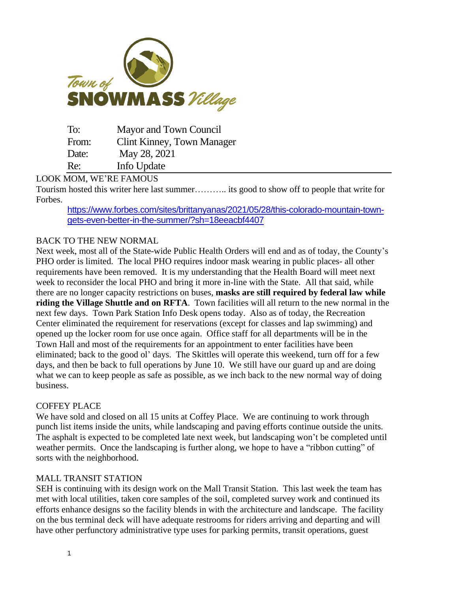

| To:   | Mayor and Town Council     |
|-------|----------------------------|
| From: | Clint Kinney, Town Manager |
| Date: | May 28, 2021               |
| Re:   | Info Update                |

# LOOK MOM, WE'RE FAMOUS

Tourism hosted this writer here last summer……….. its good to show off to people that write for Forbes.

[https://www.forbes.com/sites/brittanyanas/2021/05/28/this-colorado-mountain-town](https://www.forbes.com/sites/brittanyanas/2021/05/28/this-colorado-mountain-town-gets-even-better-in-the-summer/?sh=18eeacbf4407)[gets-even-better-in-the-summer/?sh=18eeacbf4407](https://www.forbes.com/sites/brittanyanas/2021/05/28/this-colorado-mountain-town-gets-even-better-in-the-summer/?sh=18eeacbf4407)

# BACK TO THE NEW NORMAL

Next week, most all of the State-wide Public Health Orders will end and as of today, the County's PHO order is limited. The local PHO requires indoor mask wearing in public places- all other requirements have been removed. It is my understanding that the Health Board will meet next week to reconsider the local PHO and bring it more in-line with the State. All that said, while there are no longer capacity restrictions on buses, **masks are still required by federal law while riding the Village Shuttle and on RFTA**. Town facilities will all return to the new normal in the next few days. Town Park Station Info Desk opens today. Also as of today, the Recreation Center eliminated the requirement for reservations (except for classes and lap swimming) and opened up the locker room for use once again. Office staff for all departments will be in the Town Hall and most of the requirements for an appointment to enter facilities have been eliminated; back to the good ol' days. The Skittles will operate this weekend, turn off for a few days, and then be back to full operations by June 10. We still have our guard up and are doing what we can to keep people as safe as possible, as we inch back to the new normal way of doing business.

### COFFEY PLACE

We have sold and closed on all 15 units at Coffey Place. We are continuing to work through punch list items inside the units, while landscaping and paving efforts continue outside the units. The asphalt is expected to be completed late next week, but landscaping won't be completed until weather permits. Once the landscaping is further along, we hope to have a "ribbon cutting" of sorts with the neighborhood.

### MALL TRANSIT STATION

SEH is continuing with its design work on the Mall Transit Station. This last week the team has met with local utilities, taken core samples of the soil, completed survey work and continued its efforts enhance designs so the facility blends in with the architecture and landscape. The facility on the bus terminal deck will have adequate restrooms for riders arriving and departing and will have other perfunctory administrative type uses for parking permits, transit operations, guest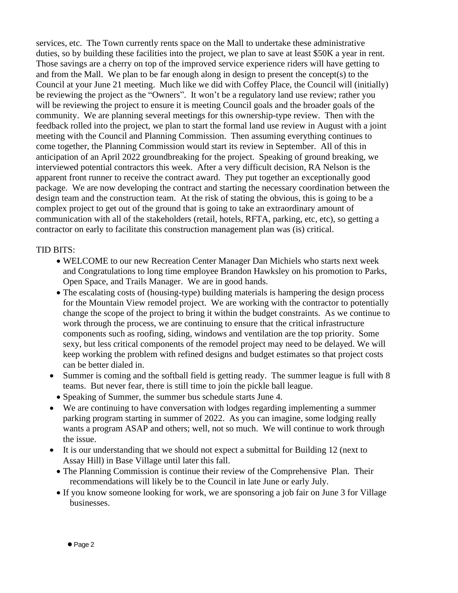services, etc. The Town currently rents space on the Mall to undertake these administrative duties, so by building these facilities into the project, we plan to save at least \$50K a year in rent. Those savings are a cherry on top of the improved service experience riders will have getting to and from the Mall. We plan to be far enough along in design to present the concept(s) to the Council at your June 21 meeting. Much like we did with Coffey Place, the Council will (initially) be reviewing the project as the "Owners". It won't be a regulatory land use review; rather you will be reviewing the project to ensure it is meeting Council goals and the broader goals of the community. We are planning several meetings for this ownership-type review. Then with the feedback rolled into the project, we plan to start the formal land use review in August with a joint meeting with the Council and Planning Commission. Then assuming everything continues to come together, the Planning Commission would start its review in September. All of this in anticipation of an April 2022 groundbreaking for the project. Speaking of ground breaking, we interviewed potential contractors this week. After a very difficult decision, RA Nelson is the apparent front runner to receive the contract award. They put together an exceptionally good package. We are now developing the contract and starting the necessary coordination between the design team and the construction team. At the risk of stating the obvious, this is going to be a complex project to get out of the ground that is going to take an extraordinary amount of communication with all of the stakeholders (retail, hotels, RFTA, parking, etc, etc), so getting a contractor on early to facilitate this construction management plan was (is) critical.

# TID BITS:

- WELCOME to our new Recreation Center Manager Dan Michiels who starts next week and Congratulations to long time employee Brandon Hawksley on his promotion to Parks, Open Space, and Trails Manager. We are in good hands.
- The escalating costs of (housing-type) building materials is hampering the design process for the Mountain View remodel project. We are working with the contractor to potentially change the scope of the project to bring it within the budget constraints. As we continue to work through the process, we are continuing to ensure that the critical infrastructure components such as roofing, siding, windows and ventilation are the top priority. Some sexy, but less critical components of the remodel project may need to be delayed. We will keep working the problem with refined designs and budget estimates so that project costs can be better dialed in.
- Summer is coming and the softball field is getting ready. The summer league is full with 8 teams. But never fear, there is still time to join the pickle ball league.
	- Speaking of Summer, the summer bus schedule starts June 4.
- We are continuing to have conversation with lodges regarding implementing a summer parking program starting in summer of 2022. As you can imagine, some lodging really wants a program ASAP and others; well, not so much. We will continue to work through the issue.
- It is our understanding that we should not expect a submittal for Building 12 (next to Assay Hill) in Base Village until later this fall.
	- The Planning Commission is continue their review of the Comprehensive Plan. Their recommendations will likely be to the Council in late June or early July.
	- If you know someone looking for work, we are sponsoring a job fair on June 3 for Village businesses.